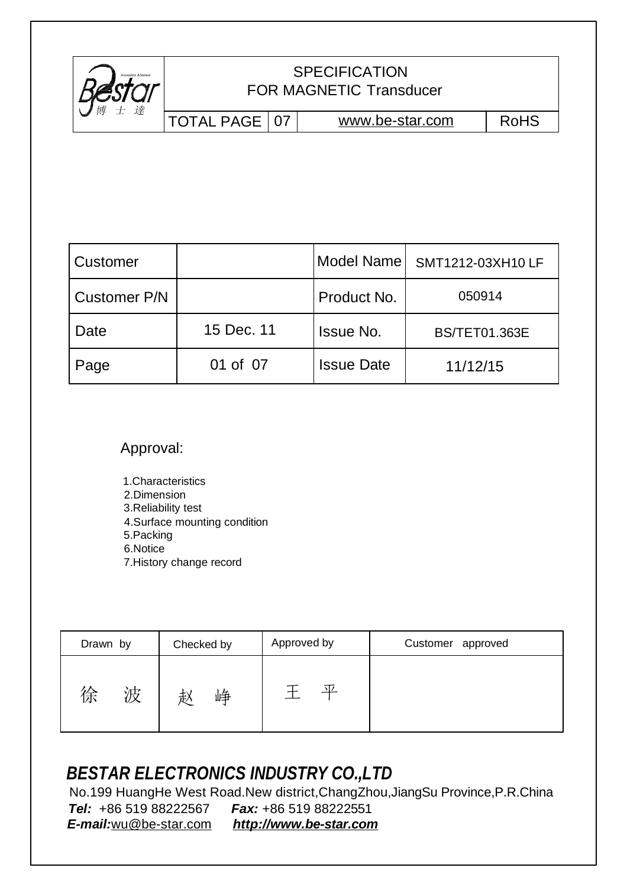

## FOR MAGNETIC Transducer **SPECIFICATION**

TOTAL PAGE | 07 | [www.be-star.com](http://www.be-star.com) | RoHS

| <b>Customer</b>     |            | Model Name        | SMT1212-03XH10 LF    |
|---------------------|------------|-------------------|----------------------|
| <b>Customer P/N</b> |            | Product No.       | 050914               |
| Date                | 15 Dec. 11 | <b>Issue No.</b>  | <b>BS/TET01.363E</b> |
| Page                | 01 of 07   | <b>Issue Date</b> | 11/12/15             |

Approval:

1.Characteristics 2.Dimension 3.Reliability test 4.Surface mounting condition 5.Packing 6.Notice 7.History change record

| Drawn by     | Checked by | Approved by | Customer approved |  |  |
|--------------|------------|-------------|-------------------|--|--|
| 浊<br>徐<br>VΧ | 峥<br>赵     | 爫           |                   |  |  |

## *BESTAR ELECTRONICS INDUSTRY CO.,LTD*

 No.199 HuangHe West Road.New district,ChangZhou,JiangSu Province,P.R.China *Tel:* +86 519 88222567 *Fax:* +86 519 88222551 *E-mail:*[wu@be-star.com](mailto:wu@be-star.com) *<http://www.be-star.com>*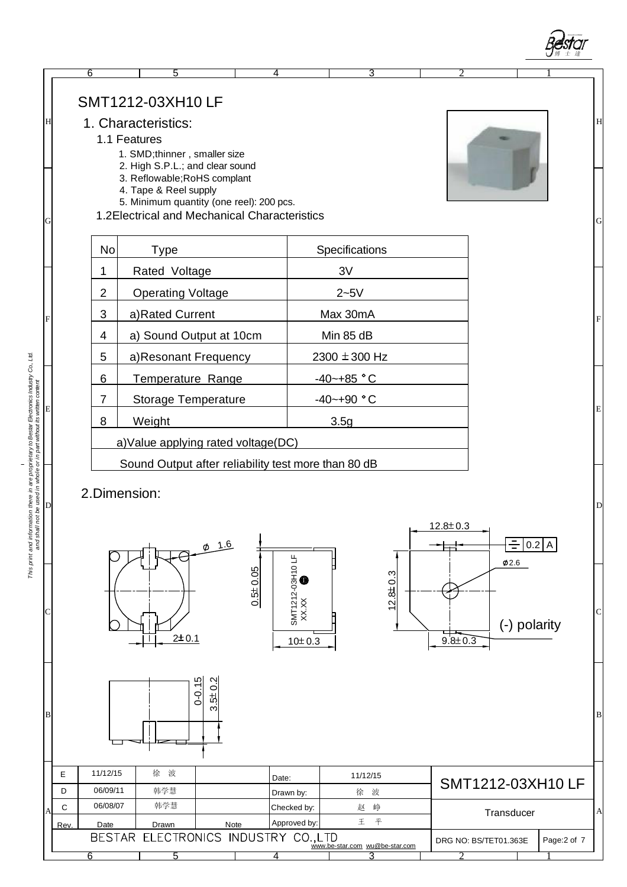



[wu@be-star.com](mailto:wu@be-star.com)

3 2 1

6 5 4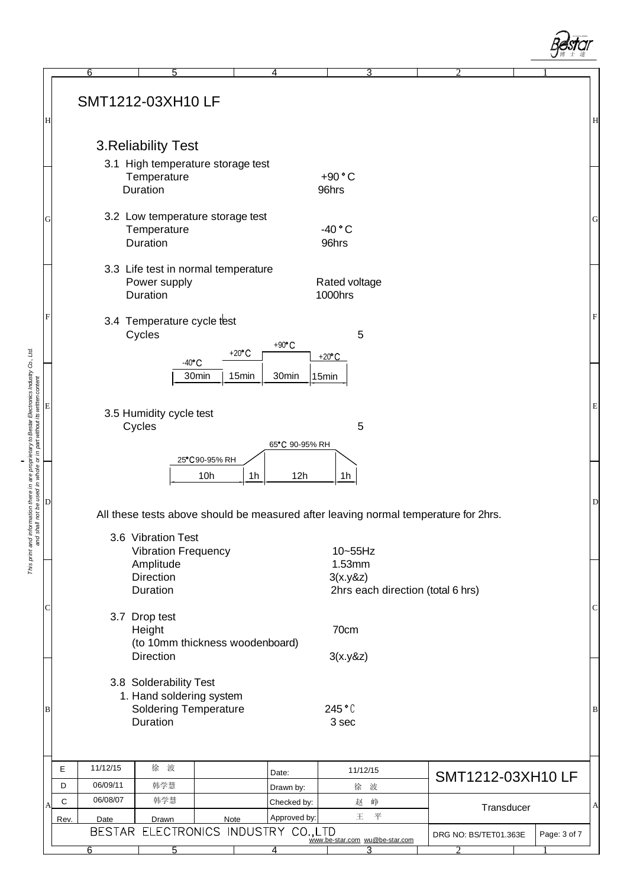|                                                                  |                                                                                                                     | $\overline{6}$ | $\overline{5}$                                                                     |                  |       | $\overline{4}$    | 3                                        |  | 2                                                                                   |              |             |
|------------------------------------------------------------------|---------------------------------------------------------------------------------------------------------------------|----------------|------------------------------------------------------------------------------------|------------------|-------|-------------------|------------------------------------------|--|-------------------------------------------------------------------------------------|--------------|-------------|
| Η                                                                |                                                                                                                     |                | SMT1212-03XH10 LF                                                                  |                  |       |                   |                                          |  |                                                                                     |              | H           |
|                                                                  |                                                                                                                     |                | 3. Reliability Test                                                                |                  |       |                   |                                          |  |                                                                                     |              |             |
|                                                                  |                                                                                                                     |                | 3.1 High temperature storage test                                                  |                  |       |                   |                                          |  |                                                                                     |              |             |
|                                                                  |                                                                                                                     |                | Temperature<br>Duration                                                            |                  |       |                   | $+90 °C$<br>96hrs                        |  |                                                                                     |              |             |
| G                                                                |                                                                                                                     |                | 3.2 Low temperature storage test<br>Temperature<br>Duration                        |                  |       |                   | $-40 °C$<br>96hrs                        |  |                                                                                     |              | $\mathbf G$ |
|                                                                  |                                                                                                                     |                | 3.3 Life test in normal temperature<br>Power supply<br>Duration                    |                  |       |                   | Rated voltage<br>1000hrs                 |  |                                                                                     |              |             |
| F                                                                |                                                                                                                     |                | 3.4 Temperature cycle test<br>Cycles                                               | +20 $^{\circ}$ C |       | $+90^{\circ}$ C   | 5<br>$+20^{\circ}$ C                     |  |                                                                                     |              | $\mathbf F$ |
|                                                                  |                                                                                                                     |                | $-40^{\circ}$ C<br>3.5 Humidity cycle test                                         | 30min            | 15min | 30 <sub>min</sub> | 15min                                    |  |                                                                                     |              | E           |
| e used in whole or in part without its written content<br>D<br>D |                                                                                                                     |                | Cycles                                                                             | 25°C90-95% RH    |       | 65°C 90-95% RH    | 5                                        |  |                                                                                     |              |             |
|                                                                  |                                                                                                                     |                |                                                                                    | 10h              | 1h    | 12h               | 1h                                       |  | All these tests above should be measured after leaving normal temperature for 2hrs. |              | D           |
| and shall not be                                                 |                                                                                                                     |                | 3.6 Vibration Test<br><b>Vibration Frequency</b>                                   |                  |       |                   | 10~55Hz                                  |  |                                                                                     |              |             |
|                                                                  |                                                                                                                     |                | Amplitude                                                                          |                  |       |                   | 1.53mm                                   |  |                                                                                     |              |             |
|                                                                  |                                                                                                                     |                | <b>Direction</b>                                                                   |                  |       |                   | 3(x.y&z)                                 |  |                                                                                     |              |             |
| С                                                                | Duration<br>2hrs each direction (total 6 hrs)<br>3.7 Drop test<br>70cm<br>Height<br>(to 10mm thickness woodenboard) |                |                                                                                    |                  |       |                   |                                          |  |                                                                                     | C            |             |
|                                                                  |                                                                                                                     |                | Direction                                                                          |                  |       |                   | 3(x.y&z)                                 |  |                                                                                     |              |             |
| B                                                                |                                                                                                                     |                | 3.8 Solderability Test<br>1. Hand soldering system<br><b>Soldering Temperature</b> |                  |       |                   | 245 °C                                   |  |                                                                                     |              | $\vert$ B   |
|                                                                  |                                                                                                                     |                | Duration                                                                           |                  |       |                   | 3 sec                                    |  |                                                                                     |              |             |
|                                                                  | Ε                                                                                                                   | 11/12/15       | 徐 波                                                                                |                  |       | Date:             | 11/12/15                                 |  |                                                                                     |              |             |
|                                                                  | D                                                                                                                   | 06/09/11       | 韩学慧                                                                                |                  |       | Drawn by:         | 徐 波                                      |  | SMT1212-03XH10 LF                                                                   |              |             |
| A                                                                | C                                                                                                                   | 06/08/07       | 韩学慧                                                                                |                  |       | Checked by:       | 赵峥                                       |  | Transducer                                                                          |              | A           |
|                                                                  | Rev.                                                                                                                | Date           | Drawn<br>BESTAR ELECTRONICS INDUSTRY CO.,LTD                                       | Note             |       | Approved by:      | 平<br>王<br>www.be-star.com wu@be-star.com |  | DRG NO: BS/TET01.363E                                                               | Page: 3 of 7 |             |
|                                                                  |                                                                                                                     | 6              | 5                                                                                  |                  |       | 4                 | 3                                        |  |                                                                                     |              |             |

*This print and information there in are proprietary to Bestar Electronics Industry Co., Ltd.*

This print and information there in are proprietary to Bestar Electronics Industry Co., Ltd.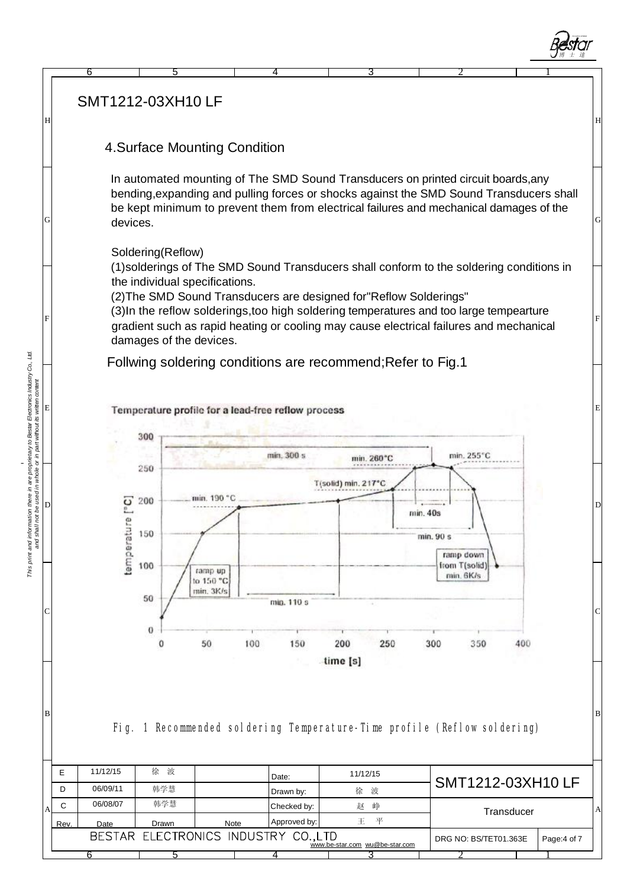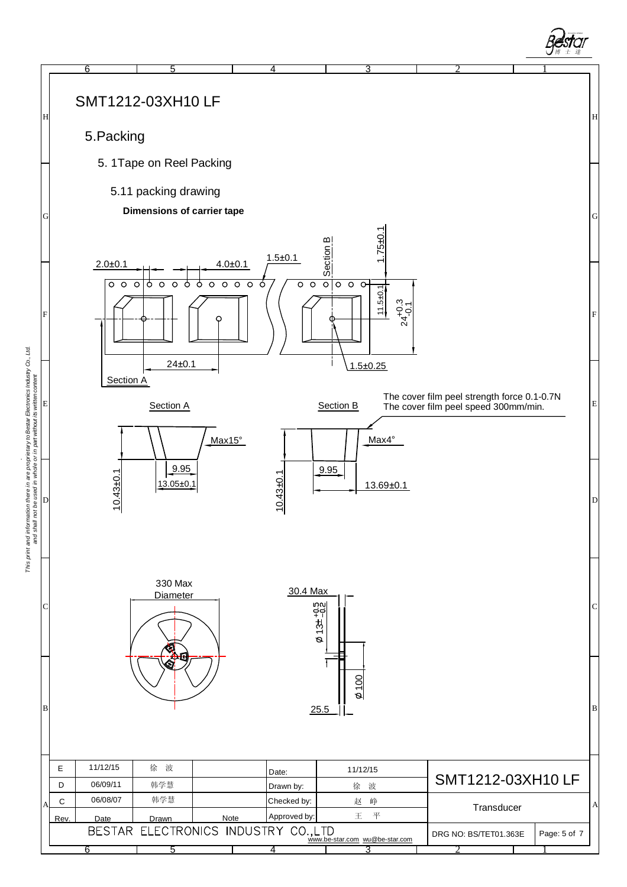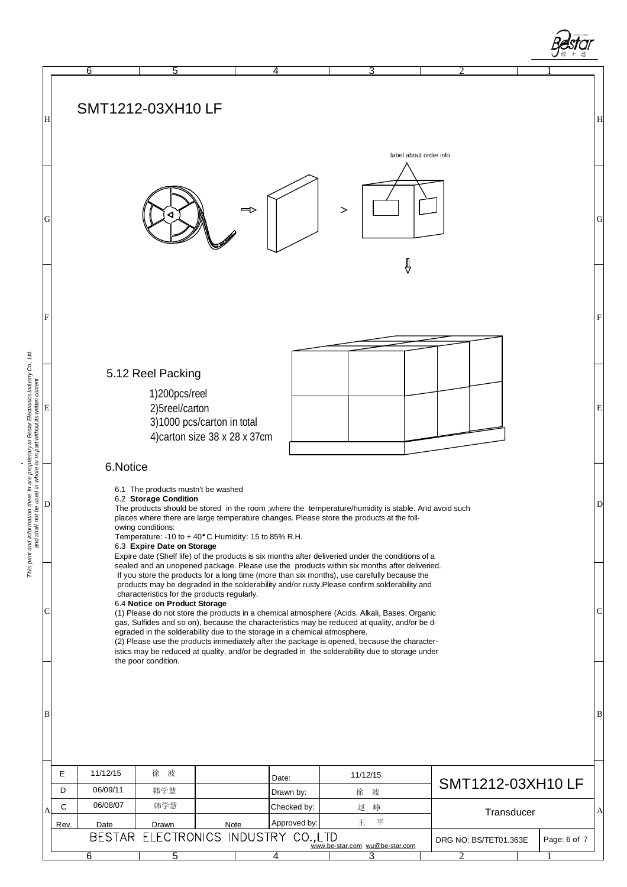



This print and information there in are proprietary to Bestar Electronics Industry Co., Ltd.<br>and shall not be used in whole or in part without its written content *This print and information there in are proprietary to Bestar Electronics Industry Co., Ltd.*